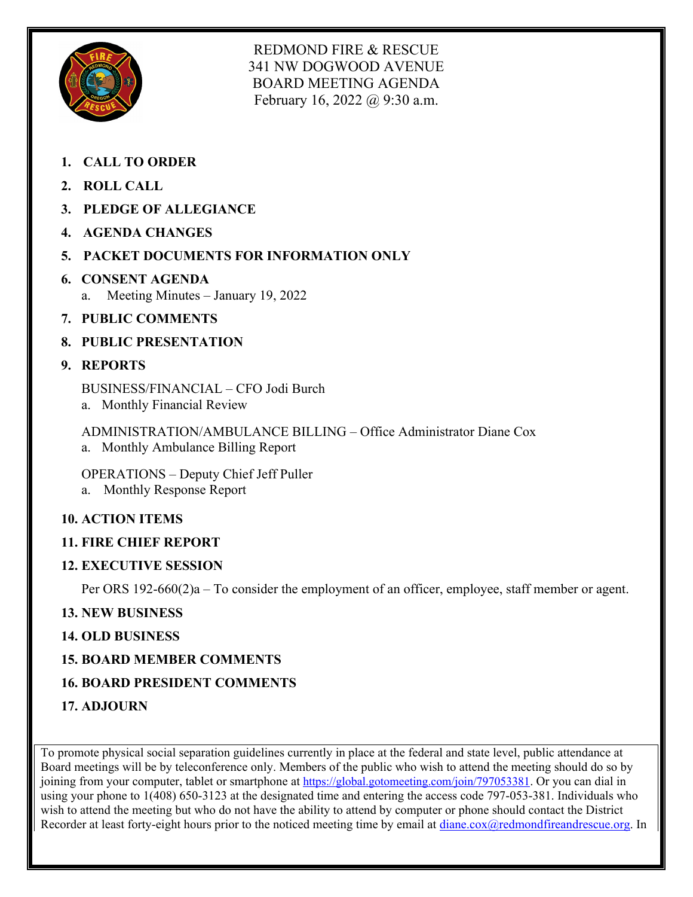

REDMOND FIRE & RESCUE 341 NW DOGWOOD AVENUE BOARD MEETING AGENDA February 16, 2022 @ 9:30 a.m.

- **1. CALL TO ORDER**
- **2. ROLL CALL**
- **3. PLEDGE OF ALLEGIANCE**
- **4. AGENDA CHANGES**
- **5. PACKET DOCUMENTS FOR INFORMATION ONLY**
- **6. CONSENT AGENDA** a. Meeting Minutes – January 19, 2022
- **7. PUBLIC COMMENTS**
- **8. PUBLIC PRESENTATION**

## **9. REPORTS**

BUSINESS/FINANCIAL – CFO Jodi Burch

a. Monthly Financial Review

ADMINISTRATION/AMBULANCE BILLING – Office Administrator Diane Cox a. Monthly Ambulance Billing Report

OPERATIONS – Deputy Chief Jeff Puller a. Monthly Response Report

# **10. ACTION ITEMS**

## **11. FIRE CHIEF REPORT**

## **12. EXECUTIVE SESSION**

Per ORS 192-660(2)a – To consider the employment of an officer, employee, staff member or agent.

# **13. NEW BUSINESS**

## **14. OLD BUSINESS**

## **15. BOARD MEMBER COMMENTS**

# **16. BOARD PRESIDENT COMMENTS**

**17. ADJOURN** 

To promote physical social separation guidelines currently in place at the federal and state level, public attendance at Board meetings will be by teleconference only. Members of the public who wish to attend the meeting should do so by joining from your computer, tablet or smartphone at [https://global.gotomeeting.com/join/797053381.](https://global.gotomeeting.com/join/797053381) Or you can dial in using your phone to 1(408) 650-3123 at the designated time and entering the access code 797-053-381. Individuals who wish to attend the meeting but who do not have the ability to attend by computer or phone should contact the District Recorder at least forty-eight hours prior to the noticed meeting time by email at [diane.cox@redmondfireandrescue.org.](mailto:diane.cox@redmondfireandrescue.org) In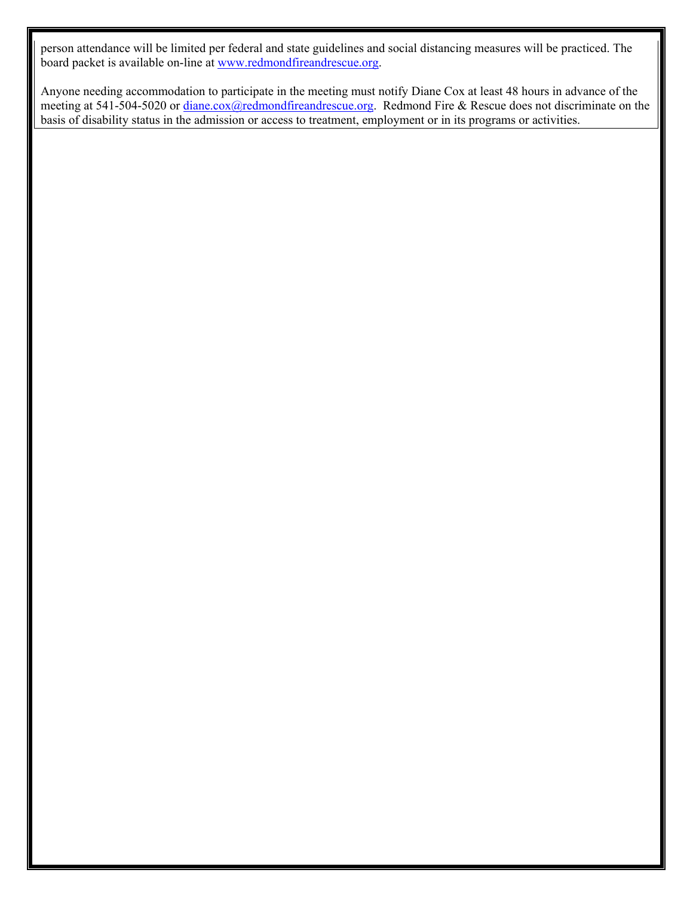person attendance will be limited per federal and state guidelines and social distancing measures will be practiced. The board packet is available on-line at [www.redmondfireandrescue.org.](http://www.redmondfireandrescue.org/)

Anyone needing accommodation to participate in the meeting must notify Diane Cox at least 48 hours in advance of the meeting at 541-504-5020 or [diane.cox@redmondfireandrescue.org.](mailto:diane.cox@redmondfireandrescue.org) Redmond Fire & Rescue does not discriminate on the basis of disability status in the admission or access to treatment, employment or in its programs or activities.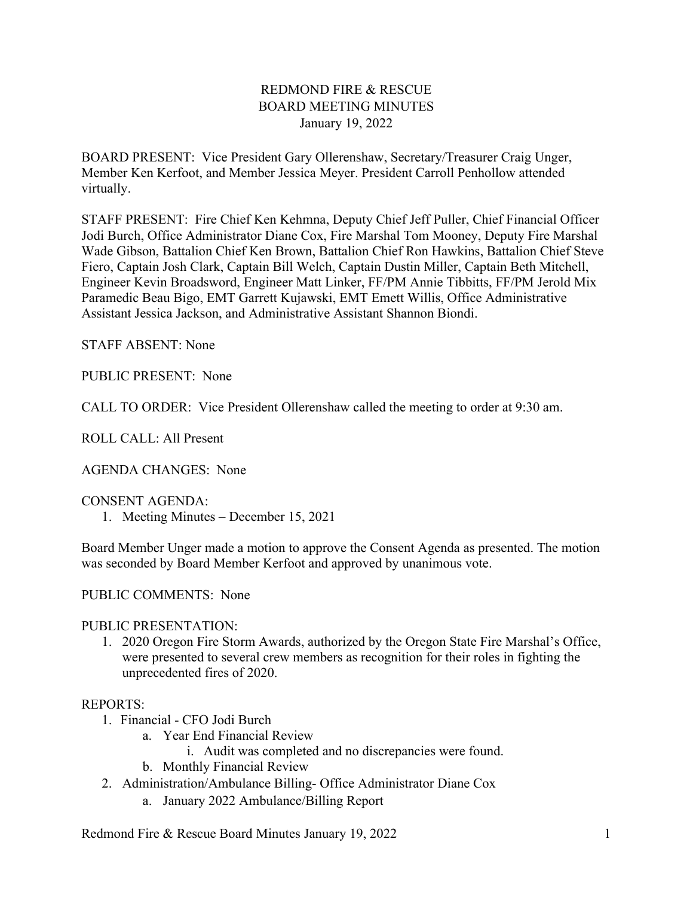### REDMOND FIRE & RESCUE BOARD MEETING MINUTES January 19, 2022

BOARD PRESENT: Vice President Gary Ollerenshaw, Secretary/Treasurer Craig Unger, Member Ken Kerfoot, and Member Jessica Meyer. President Carroll Penhollow attended virtually.

STAFF PRESENT: Fire Chief Ken Kehmna, Deputy Chief Jeff Puller, Chief Financial Officer Jodi Burch, Office Administrator Diane Cox, Fire Marshal Tom Mooney, Deputy Fire Marshal Wade Gibson, Battalion Chief Ken Brown, Battalion Chief Ron Hawkins, Battalion Chief Steve Fiero, Captain Josh Clark, Captain Bill Welch, Captain Dustin Miller, Captain Beth Mitchell, Engineer Kevin Broadsword, Engineer Matt Linker, FF/PM Annie Tibbitts, FF/PM Jerold Mix Paramedic Beau Bigo, EMT Garrett Kujawski, EMT Emett Willis, Office Administrative Assistant Jessica Jackson, and Administrative Assistant Shannon Biondi.

STAFF ABSENT: None

PUBLIC PRESENT: None

CALL TO ORDER: Vice President Ollerenshaw called the meeting to order at 9:30 am.

ROLL CALL: All Present

AGENDA CHANGES: None

CONSENT AGENDA:

1. Meeting Minutes – December 15, 2021

Board Member Unger made a motion to approve the Consent Agenda as presented. The motion was seconded by Board Member Kerfoot and approved by unanimous vote.

PUBLIC COMMENTS: None

#### PUBLIC PRESENTATION:

1. 2020 Oregon Fire Storm Awards, authorized by the Oregon State Fire Marshal's Office, were presented to several crew members as recognition for their roles in fighting the unprecedented fires of 2020.

#### REPORTS:

- 1. Financial CFO Jodi Burch
	- a. Year End Financial Review
		- i. Audit was completed and no discrepancies were found.
	- b. Monthly Financial Review
- 2. Administration/Ambulance Billing- Office Administrator Diane Cox
	- a. January 2022 Ambulance/Billing Report

Redmond Fire & Rescue Board Minutes January 19, 2022 19. 1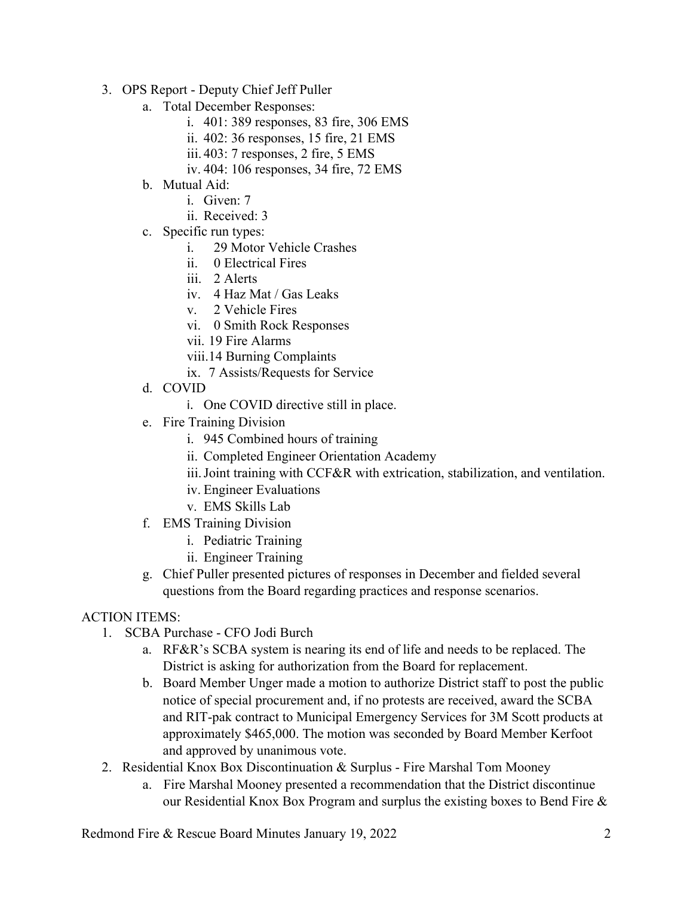- 3. OPS Report Deputy Chief Jeff Puller
	- a. Total December Responses:
		- i. 401: 389 responses, 83 fire, 306 EMS
		- ii. 402: 36 responses, 15 fire, 21 EMS
		- iii. 403: 7 responses, 2 fire, 5 EMS
		- iv. 404: 106 responses, 34 fire, 72 EMS
	- b. Mutual Aid:
		- i. Given: 7
		- ii. Received: 3
	- c. Specific run types:
		- i. 29 Motor Vehicle Crashes
		- ii. 0 Electrical Fires
		- iii. 2 Alerts
		- iv. 4 Haz Mat / Gas Leaks
		- v. 2 Vehicle Fires
		- vi. 0 Smith Rock Responses
		- vii. 19 Fire Alarms
		- viii.14 Burning Complaints
		- ix. 7 Assists/Requests for Service
	- d. COVID
		- i. One COVID directive still in place.
	- e. Fire Training Division
		- i. 945 Combined hours of training
		- ii. Completed Engineer Orientation Academy
		- iii. Joint training with CCF&R with extrication, stabilization, and ventilation.
		- iv. Engineer Evaluations
		- v. EMS Skills Lab
	- f. EMS Training Division
		- i. Pediatric Training
		- ii. Engineer Training
	- g. Chief Puller presented pictures of responses in December and fielded several questions from the Board regarding practices and response scenarios.

### ACTION ITEMS:

- 1. SCBA Purchase CFO Jodi Burch
	- a. RF&R's SCBA system is nearing its end of life and needs to be replaced. The District is asking for authorization from the Board for replacement.
	- b. Board Member Unger made a motion to authorize District staff to post the public notice of special procurement and, if no protests are received, award the SCBA and RIT-pak contract to Municipal Emergency Services for 3M Scott products at approximately \$465,000. The motion was seconded by Board Member Kerfoot and approved by unanimous vote.
- 2. Residential Knox Box Discontinuation & Surplus Fire Marshal Tom Mooney
	- a. Fire Marshal Mooney presented a recommendation that the District discontinue our Residential Knox Box Program and surplus the existing boxes to Bend Fire &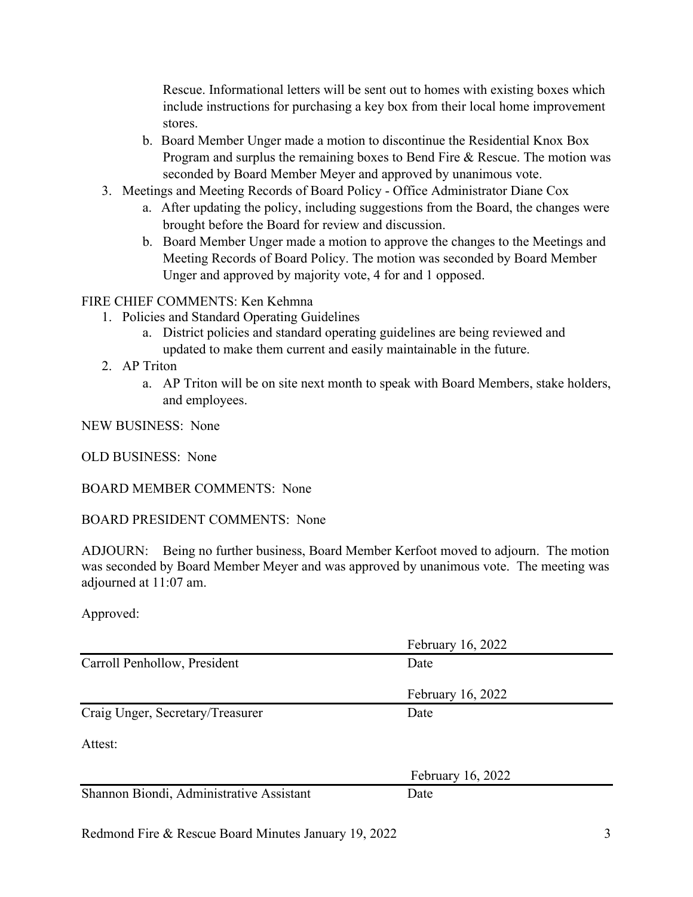Rescue. Informational letters will be sent out to homes with existing boxes which include instructions for purchasing a key box from their local home improvement stores.

- b. Board Member Unger made a motion to discontinue the Residential Knox Box Program and surplus the remaining boxes to Bend Fire & Rescue. The motion was seconded by Board Member Meyer and approved by unanimous vote.
- 3. Meetings and Meeting Records of Board Policy Office Administrator Diane Cox
	- a. After updating the policy, including suggestions from the Board, the changes were brought before the Board for review and discussion.
	- b. Board Member Unger made a motion to approve the changes to the Meetings and Meeting Records of Board Policy. The motion was seconded by Board Member Unger and approved by majority vote, 4 for and 1 opposed.

### FIRE CHIEF COMMENTS: Ken Kehmna

- 1. Policies and Standard Operating Guidelines
	- a. District policies and standard operating guidelines are being reviewed and updated to make them current and easily maintainable in the future.
- 2. AP Triton
	- a. AP Triton will be on site next month to speak with Board Members, stake holders, and employees.

NEW BUSINESS: None

OLD BUSINESS: None

BOARD MEMBER COMMENTS: None

### BOARD PRESIDENT COMMENTS: None

ADJOURN: Being no further business, Board Member Kerfoot moved to adjourn. The motion was seconded by Board Member Meyer and was approved by unanimous vote. The meeting was adjourned at 11:07 am.

### Approved:

|                                          | February 16, 2022 |  |
|------------------------------------------|-------------------|--|
| Carroll Penhollow, President             | Date              |  |
|                                          | February 16, 2022 |  |
| Craig Unger, Secretary/Treasurer         | Date              |  |
| Attest:                                  |                   |  |
|                                          | February 16, 2022 |  |
| Shannon Biondi, Administrative Assistant | Date              |  |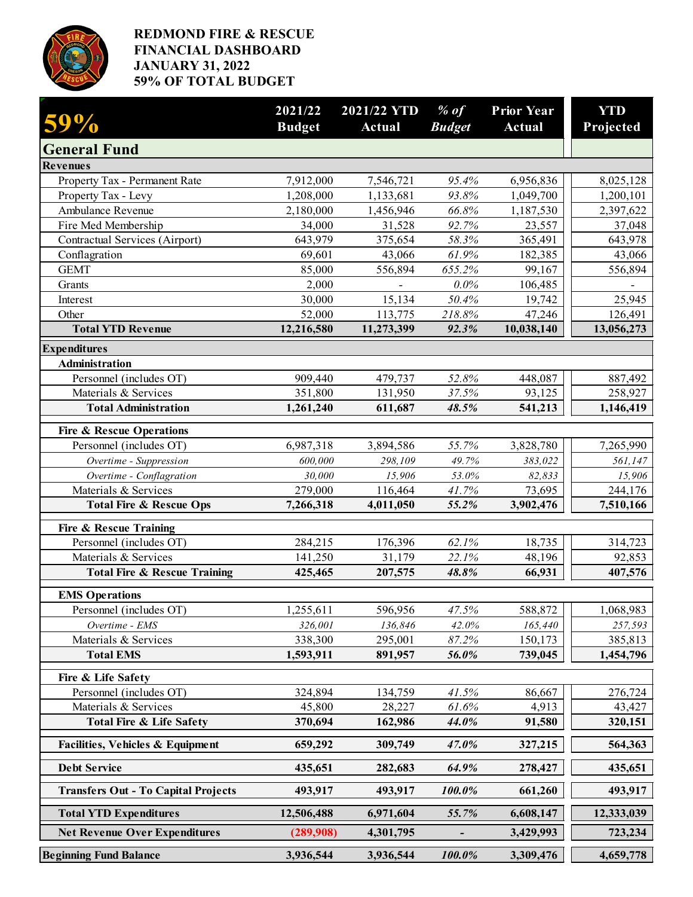

### **REDMOND FIRE & RESCUE FINANCIAL DASHBOARD JANUARY 31, 2022 59% OF TOTAL BUDGET**

| 59%                                        | 2021/22<br><b>Budget</b> | 2021/22 YTD<br>Actual | $%$ of<br><b>Budget</b> | <b>Prior Year</b><br><b>Actual</b> | <b>YTD</b><br>Projected |
|--------------------------------------------|--------------------------|-----------------------|-------------------------|------------------------------------|-------------------------|
| <b>General Fund</b>                        |                          |                       |                         |                                    |                         |
| <b>Revenues</b>                            |                          |                       |                         |                                    |                         |
| Property Tax - Permanent Rate              | 7,912,000                | 7,546,721             | 95.4%                   | 6,956,836                          | 8,025,128               |
| Property Tax - Levy                        | 1,208,000                | 1,133,681             | 93.8%                   | 1,049,700                          | 1,200,101               |
| Ambulance Revenue                          | 2,180,000                | 1,456,946             | 66.8%                   | 1,187,530                          | 2,397,622               |
| Fire Med Membership                        | 34,000                   | 31,528                | 92.7%                   | 23,557                             | 37,048                  |
| Contractual Services (Airport)             | 643,979                  | 375,654               | 58.3%                   | 365,491                            | 643,978                 |
| Conflagration                              | 69,601                   | 43,066                | 61.9%                   | 182,385                            | 43,066                  |
| <b>GEMT</b>                                | 85,000                   | 556,894               | 655.2%                  | 99,167                             | 556,894                 |
| Grants<br>Interest                         | 2,000                    |                       | $0.0\%$                 | 106,485                            | $\qquad \qquad -$       |
| Other                                      | 30,000<br>52,000         | 15,134<br>113,775     | 50.4%<br>218.8%         | 19,742<br>47,246                   | 25,945<br>126,491       |
| <b>Total YTD Revenue</b>                   | 12,216,580               | 11,273,399            | 92.3%                   | 10,038,140                         | 13,056,273              |
| <b>Expenditures</b>                        |                          |                       |                         |                                    |                         |
| <b>Administration</b>                      |                          |                       |                         |                                    |                         |
| Personnel (includes OT)                    | 909,440                  | 479,737               | 52.8%                   | 448,087                            | 887,492                 |
| Materials & Services                       | 351,800                  | 131,950               | 37.5%                   | 93,125                             | 258,927                 |
| <b>Total Administration</b>                | 1,261,240                | 611,687               | 48.5%                   | 541,213                            | 1,146,419               |
| <b>Fire &amp; Rescue Operations</b>        |                          |                       |                         |                                    |                         |
| Personnel (includes OT)                    | 6,987,318                | 3,894,586             | 55.7%                   | 3,828,780                          | 7,265,990               |
| Overtime - Suppression                     | 600,000                  | 298,109               | 49.7%                   | 383,022                            | 561,147                 |
| Overtime - Conflagration                   | 30,000                   | 15,906                | 53.0%                   | 82,833                             | 15,906                  |
| Materials & Services                       | 279,000                  | 116,464               | 41.7%                   | 73,695                             | 244,176                 |
| <b>Total Fire &amp; Rescue Ops</b>         | 7,266,318                | 4,011,050             | 55.2%                   | 3,902,476                          | 7,510,166               |
| <b>Fire &amp; Rescue Training</b>          |                          |                       |                         |                                    |                         |
| Personnel (includes OT)                    | 284,215                  | 176,396               | 62.1%                   | 18,735                             | 314,723                 |
| Materials & Services                       | 141,250                  | 31,179                | 22.1%                   | 48,196                             | 92,853                  |
| <b>Total Fire &amp; Rescue Training</b>    | 425,465                  | 207,575               | 48.8%                   | 66,931                             | 407,576                 |
| <b>EMS</b> Operations                      |                          |                       |                         |                                    |                         |
| Personnel (includes OT)                    | 1,255,611                | 596,956               | 47.5%                   | 588,872                            | 1,068,983               |
| Overtime - EMS                             | 326,001                  | 136,846               | 42.0%                   | 165,440                            | 257,593                 |
| Materials & Services                       | 338,300                  | 295,001               | 87.2%                   | 150,173                            | 385,813                 |
| <b>Total EMS</b>                           | 1,593,911                | 891,957               | 56.0%                   | 739,045                            | 1,454,796               |
| Fire & Life Safety                         |                          |                       |                         |                                    |                         |
| Personnel (includes OT)                    | 324,894                  | 134,759               | 41.5%                   | 86,667                             | 276,724                 |
| Materials & Services                       | 45,800                   | 28,227                | 61.6%                   | 4,913                              | 43,427                  |
| <b>Total Fire &amp; Life Safety</b>        | 370,694                  | 162,986               | 44.0%                   | 91,580                             | 320,151                 |
| Facilities, Vehicles & Equipment           | 659,292                  | 309,749               | 47.0%                   | 327,215                            | 564,363                 |
| <b>Debt Service</b>                        | 435,651                  | 282,683               | 64.9%                   | 278,427                            | 435,651                 |
| <b>Transfers Out - To Capital Projects</b> | 493,917                  | 493,917               | 100.0%                  | 661,260                            | 493,917                 |
| <b>Total YTD Expenditures</b>              | 12,506,488               | 6,971,604             | 55.7%                   | 6,608,147                          | 12,333,039              |
| <b>Net Revenue Over Expenditures</b>       | (289,908)                | 4,301,795             |                         | 3,429,993                          | 723,234                 |
| <b>Beginning Fund Balance</b>              | 3,936,544                | 3,936,544             | 100.0%                  | 3,309,476                          | 4,659,778               |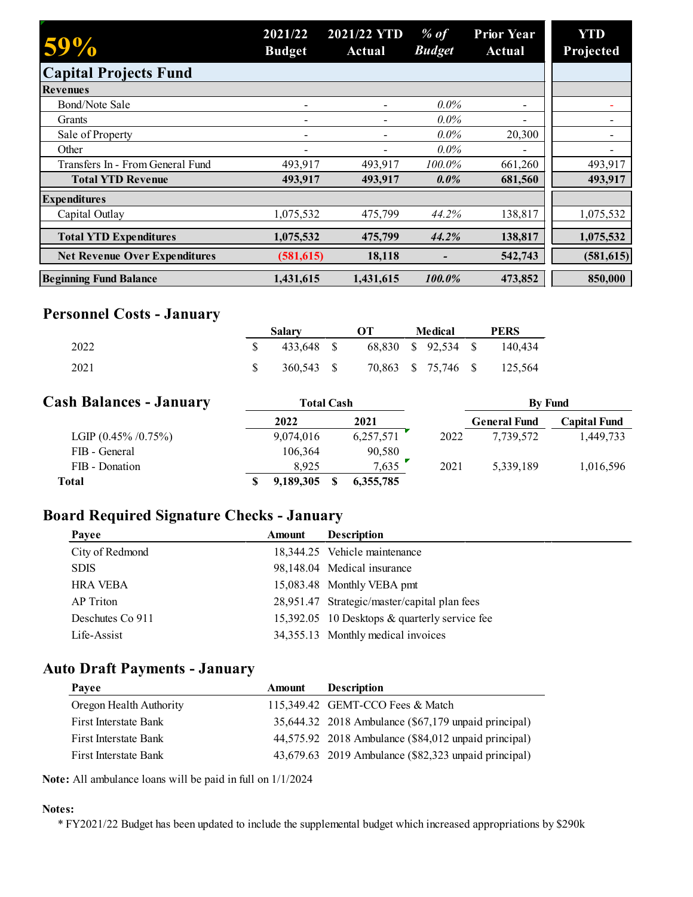| 59%                                  | 2021/22<br><b>Budget</b> | 2021/22 YTD<br>Actual | $%$ of<br><b>Budget</b> | <b>Prior Year</b><br><b>Actual</b> | <b>YTD</b><br>Projected |
|--------------------------------------|--------------------------|-----------------------|-------------------------|------------------------------------|-------------------------|
| <b>Capital Projects Fund</b>         |                          |                       |                         |                                    |                         |
| <b>Revenues</b>                      |                          |                       |                         |                                    |                         |
| Bond/Note Sale                       |                          |                       | $0.0\%$                 | $\overline{\phantom{0}}$           |                         |
| Grants                               |                          |                       | $0.0\%$                 |                                    |                         |
| Sale of Property                     | $\overline{\phantom{0}}$ |                       | $0.0\%$                 | 20,300                             |                         |
| Other                                | $\overline{\phantom{a}}$ |                       | $0.0\%$                 | $\overline{\phantom{0}}$           |                         |
| Transfers In - From General Fund     | 493,917                  | 493,917               | 100.0%                  | 661,260                            | 493,917                 |
| <b>Total YTD Revenue</b>             | 493,917                  | 493,917               | $0.0\%$                 | 681,560                            | 493,917                 |
| <b>Expenditures</b>                  |                          |                       |                         |                                    |                         |
| Capital Outlay                       | 1,075,532                | 475,799               | 44.2%                   | 138,817                            | 1,075,532               |
| <b>Total YTD Expenditures</b>        | 1,075,532                | 475,799               | 44.2%                   | 138,817                            | 1,075,532               |
| <b>Net Revenue Over Expenditures</b> | (581, 615)               | 18,118                |                         | 542,743                            | (581, 615)              |
| <b>Beginning Fund Balance</b>        | 1,431,615                | 1,431,615             | 100.0%                  | 473,852                            | 850,000                 |

# **Personnel Costs - January**

|      | <b>Salary</b> | OТ | Medical | <b>PERS</b>                 |
|------|---------------|----|---------|-----------------------------|
| 2022 | 433.648 \$    |    |         | 68,830 \$ 92,534 \$ 140,434 |
| 2021 | 360.543 S     |    |         | 70,863 \$ 75,746 \$ 125,564 |

| <b>Cash Balances - January</b> | <b>Total Cash</b> |           |      | <b>By Fund</b>      |                     |
|--------------------------------|-------------------|-----------|------|---------------------|---------------------|
|                                | 2022              | 2021      |      | <b>General Fund</b> | <b>Capital Fund</b> |
| LGIP $(0.45\% / 0.75\%)$       | 9,074,016         | 6,257,571 | 2022 | 7.739.572           | 1.449.733           |
| FIB - General                  | 106,364           | 90,580    |      |                     |                     |
| FIB - Donation                 | 8.925             | 7,635     | 2021 | 5.339.189           | 1,016,596           |
| Total                          | 9,189,305         | 6,355,785 |      |                     |                     |

# **Board Required Signature Checks - January**

| Payee            | <b>Amount</b> | <b>Description</b>                            |
|------------------|---------------|-----------------------------------------------|
| City of Redmond  |               | 18,344.25 Vehicle maintenance                 |
| <b>SDIS</b>      |               | 98,148.04 Medical insurance                   |
| <b>HRA VEBA</b>  |               | 15,083.48 Monthly VEBA pmt                    |
| AP Triton        |               | 28,951.47 Strategic/master/capital plan fees  |
| Deschutes Co 911 |               | 15,392.05 10 Desktops & quarterly service fee |
| Life-Assist      |               | 34,355.13 Monthly medical invoices            |
|                  |               |                                               |

# **Auto Draft Payments - January**

| Payee                   | Amount | <b>Description</b>                                   |
|-------------------------|--------|------------------------------------------------------|
| Oregon Health Authority |        | 115,349.42 GEMT-CCO Fees & Match                     |
| First Interstate Bank   |        | 35,644.32 2018 Ambulance (\$67,179 unpaid principal) |
| First Interstate Bank   |        | 44,575.92 2018 Ambulance (\$84,012 unpaid principal) |
| First Interstate Bank   |        | 43,679.63 2019 Ambulance (\$82,323 unpaid principal) |

**Note:** All ambulance loans will be paid in full on 1/1/2024

#### **Notes:**

\* FY2021/22 Budget has been updated to include the supplemental budget which increased appropriations by \$290k